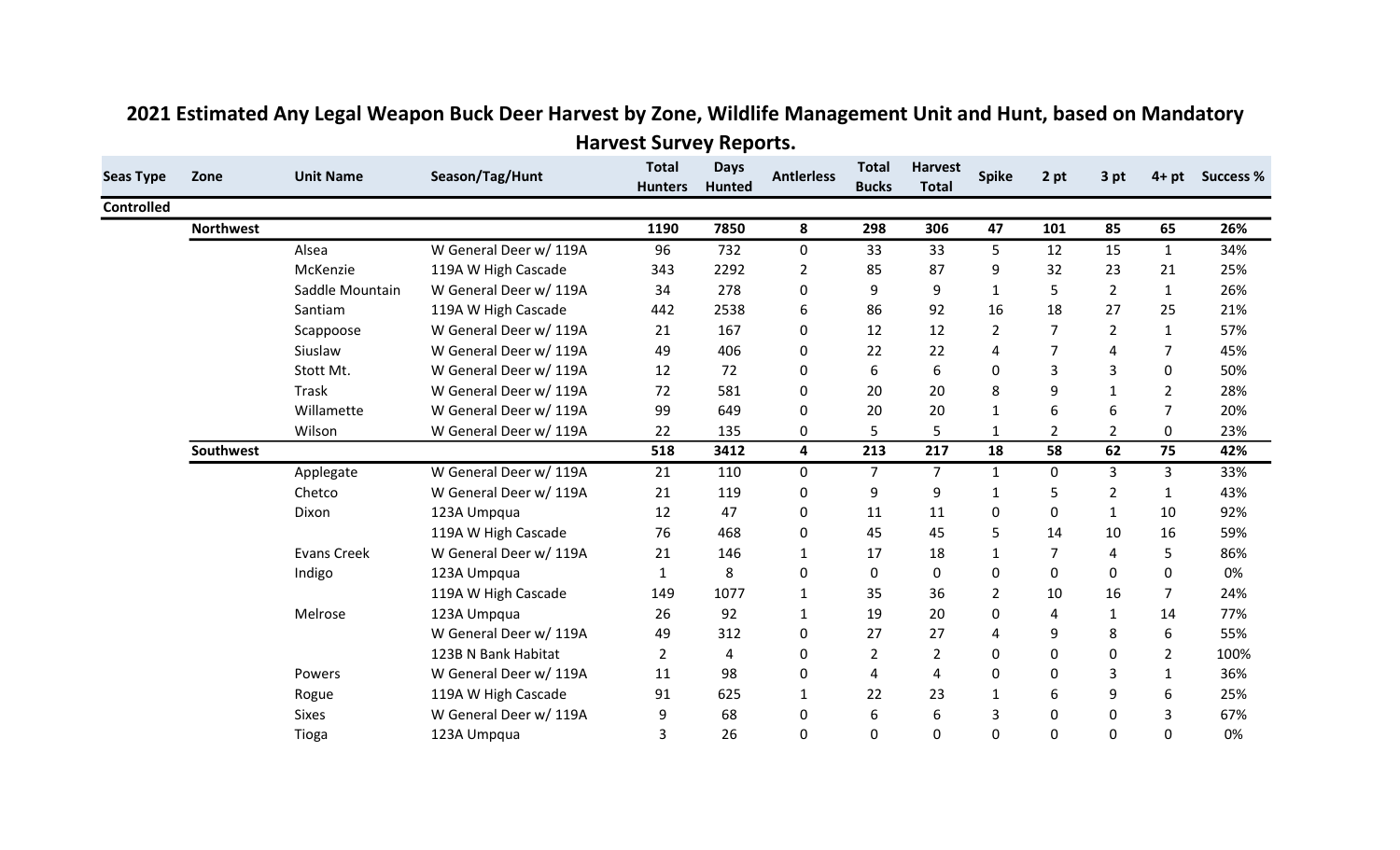| <b>Seas Type</b><br><b>Controlled</b> | Zone             | <b>Unit Name</b>   | Season/Tag/Hunt        | <b>Total</b>   | <b>Days</b>   | <b>Antierless</b>       | <b>Total</b>   | <b>Harvest</b> | Spike          | 2 pt           | 3 pt           | $4+pt$         | <b>Success %</b> |
|---------------------------------------|------------------|--------------------|------------------------|----------------|---------------|-------------------------|----------------|----------------|----------------|----------------|----------------|----------------|------------------|
|                                       |                  |                    |                        | <b>Hunters</b> | <b>Hunted</b> |                         | <b>Bucks</b>   | <b>Total</b>   |                |                |                |                |                  |
|                                       |                  |                    |                        |                |               |                         |                |                |                |                |                |                |                  |
|                                       | <b>Northwest</b> |                    |                        | 1190           | 7850          | 8                       | 298            | 306            | 47             | 101            | 85             | 65             | 26%              |
|                                       |                  | Alsea              | W General Deer w/ 119A | 96             | 732           | $\mathbf 0$             | 33             | 33             | 5              | 12             | 15             | $\mathbf{1}$   | 34%              |
|                                       |                  | McKenzie           | 119A W High Cascade    | 343            | 2292          | $\overline{2}$          | 85             | 87             | 9              | 32             | 23             | 21             | 25%              |
|                                       |                  | Saddle Mountain    | W General Deer w/ 119A | 34             | 278           | $\mathbf 0$             | 9              | 9              | $\mathbf{1}$   | 5              | $\overline{2}$ | $\mathbf{1}$   | 26%              |
|                                       |                  | Santiam            | 119A W High Cascade    | 442            | 2538          | 6                       | 86             | 92             | 16             | 18             | 27             | 25             | 21%              |
|                                       |                  | Scappoose          | W General Deer w/ 119A | 21             | 167           | 0                       | 12             | 12             | $\overline{2}$ | $\overline{7}$ | $\overline{2}$ | $\mathbf{1}$   | 57%              |
|                                       |                  | Siuslaw            | W General Deer w/ 119A | 49             | 406           | 0                       | 22             | 22             | 4              | 7              | 4              | $\overline{7}$ | 45%              |
|                                       |                  | Stott Mt.          | W General Deer w/ 119A | 12             | 72            | $\mathbf 0$             | 6              | 6              | 0              | 3              | 3              | 0              | 50%              |
|                                       |                  | <b>Trask</b>       | W General Deer w/ 119A | 72             | 581           | $\mathbf 0$             | 20             | 20             | 8              | 9              | $\mathbf{1}$   | $\overline{2}$ | 28%              |
|                                       |                  | Willamette         | W General Deer w/ 119A | 99             | 649           | 0                       | 20             | 20             | 1              | 6              | 6              | 7              | 20%              |
|                                       |                  | Wilson             | W General Deer w/ 119A | 22             | 135           | $\mathbf 0$             | 5              | 5              | $\mathbf{1}$   | $\overline{2}$ | $\overline{2}$ | 0              | 23%              |
|                                       | <b>Southwest</b> |                    |                        | 518            | 3412          | $\overline{\mathbf{4}}$ | 213            | 217            | 18             | 58             | 62             | 75             | 42%              |
|                                       |                  | Applegate          | W General Deer w/ 119A | 21             | 110           | $\mathbf 0$             | $\overline{7}$ | $\overline{7}$ | $\mathbf{1}$   | $\mathbf 0$    | 3              | $\overline{3}$ | 33%              |
|                                       |                  | Chetco             | W General Deer w/ 119A | 21             | 119           | $\mathbf 0$             | 9              | 9              | 1              | 5              | $\overline{2}$ | $\mathbf{1}$   | 43%              |
|                                       |                  | Dixon              | 123A Umpqua            | 12             | 47            | $\mathbf 0$             | 11             | 11             | 0              | 0              | $\mathbf{1}$   | 10             | 92%              |
|                                       |                  |                    | 119A W High Cascade    | 76             | 468           | 0                       | 45             | 45             | 5              | 14             | 10             | 16             | 59%              |
|                                       |                  | <b>Evans Creek</b> | W General Deer w/ 119A | 21             | 146           | 1                       | 17             | 18             |                | $\overline{7}$ | 4              | 5              | 86%              |
|                                       |                  | Indigo             | 123A Umpqua            | 1              | 8             | 0                       | $\mathbf 0$    | $\mathbf 0$    | $\Omega$       | 0              | 0              | 0              | 0%               |
|                                       |                  |                    | 119A W High Cascade    | 149            | 1077          | $\mathbf{1}$            | 35             | 36             | $\overline{2}$ | 10             | 16             | $\overline{7}$ | 24%              |
|                                       |                  | Melrose            | 123A Umpqua            | 26             | 92            | 1                       | 19             | 20             | 0              | 4              | 1              | 14             | 77%              |
|                                       |                  |                    | W General Deer w/ 119A | 49             | 312           | 0                       | 27             | 27             | 4              | 9              | 8              | 6              | 55%              |
|                                       |                  |                    | 123B N Bank Habitat    | $\overline{2}$ | 4             | 0                       | $\overline{2}$ | $\overline{2}$ | 0              | 0              | 0              | $\overline{2}$ | 100%             |
|                                       |                  | Powers             | W General Deer w/ 119A | 11             | 98            | $\mathbf 0$             | 4              | 4              | 0              | 0              | 3              | $\mathbf{1}$   | 36%              |
|                                       |                  | Rogue              | 119A W High Cascade    | 91             | 625           | 1                       | 22             | 23             | $\mathbf{1}$   | 6              | 9              | 6              | 25%              |
|                                       |                  | <b>Sixes</b>       | W General Deer w/ 119A | 9              | 68            | 0                       | 6              | 6              | 3              | $\mathbf{0}$   | 0              | 3              | 67%              |
|                                       |                  | Tioga              | 123A Umpqua            | 3              | 26            | $\mathbf 0$             | 0              | 0              | 0              | 0              | 0              | 0              | 0%               |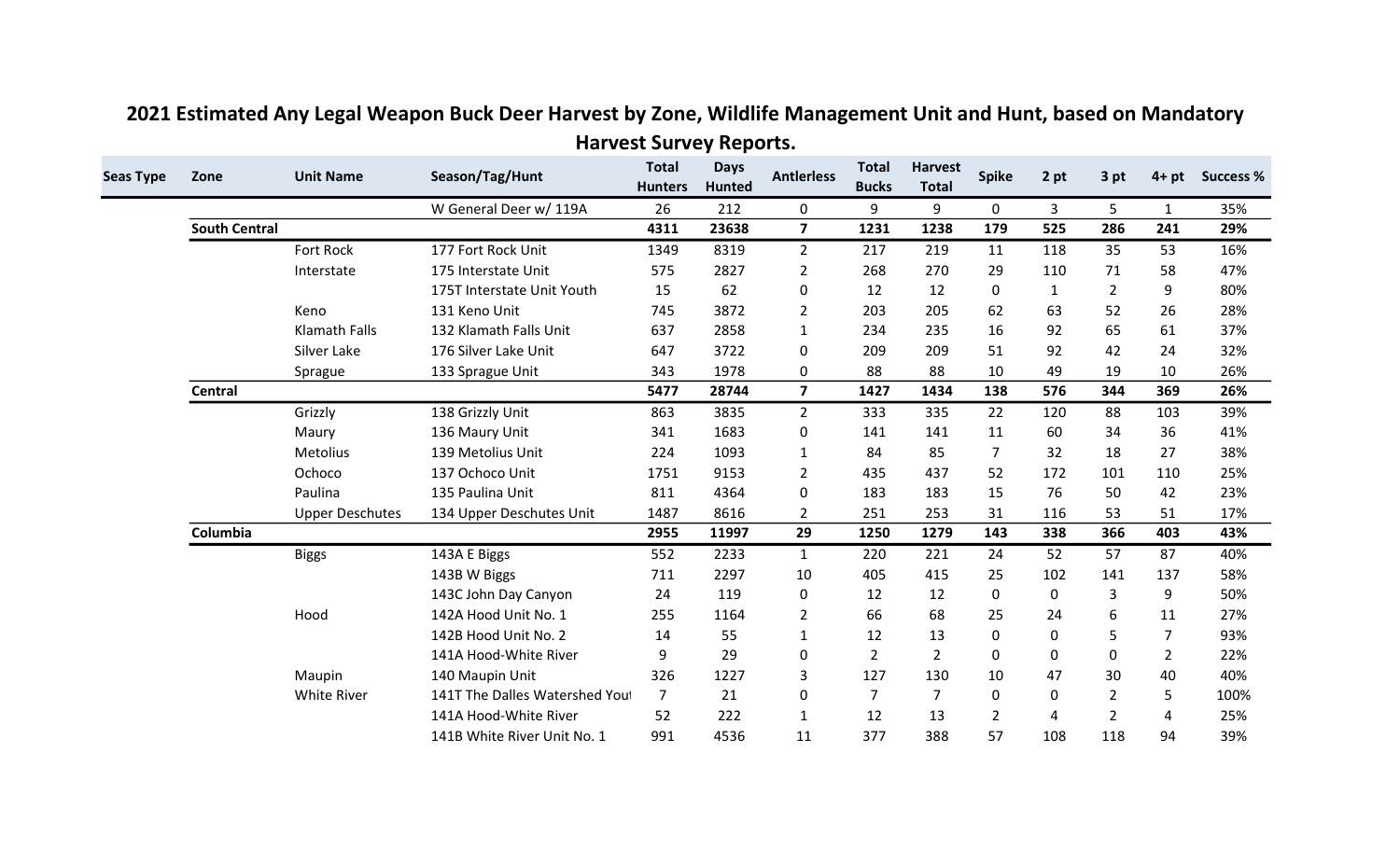| <b>Seas Type</b> | Zone                 | <b>Unit Name</b>       | Season/Tag/Hunt                | <b>Total</b><br><b>Hunters</b> | <b>Days</b><br><b>Hunted</b> | <b>Antlerless</b> | <b>Total</b><br><b>Bucks</b> | <b>Harvest</b><br><b>Total</b> | <b>Spike</b>   | 2 pt         | 3 pt           | $4+pt$         | <b>Success %</b> |
|------------------|----------------------|------------------------|--------------------------------|--------------------------------|------------------------------|-------------------|------------------------------|--------------------------------|----------------|--------------|----------------|----------------|------------------|
|                  |                      |                        | W General Deer w/ 119A         | 26                             | 212                          | 0                 | 9                            | 9                              | 0              | 3            | 5              | $\mathbf{1}$   | 35%              |
|                  | <b>South Central</b> |                        |                                | 4311                           | 23638                        | $\overline{7}$    | 1231                         | 1238                           | 179            | 525          | 286            | 241            | 29%              |
|                  |                      | <b>Fort Rock</b>       | 177 Fort Rock Unit             | 1349                           | 8319                         | $\overline{2}$    | 217                          | 219                            | 11             | 118          | 35             | 53             | 16%              |
|                  |                      | Interstate             | 175 Interstate Unit            | 575                            | 2827                         | $\overline{2}$    | 268                          | 270                            | 29             | 110          | 71             | 58             | 47%              |
|                  |                      |                        | 175T Interstate Unit Youth     | 15                             | 62                           | 0                 | 12                           | 12                             | $\Omega$       | $\mathbf{1}$ | 2              | 9              | 80%              |
|                  |                      | Keno                   | 131 Keno Unit                  | 745                            | 3872                         | $\overline{2}$    | 203                          | 205                            | 62             | 63           | 52             | 26             | 28%              |
|                  |                      | <b>Klamath Falls</b>   | 132 Klamath Falls Unit         | 637                            | 2858                         | 1                 | 234                          | 235                            | 16             | 92           | 65             | 61             | 37%              |
|                  |                      | Silver Lake            | 176 Silver Lake Unit           | 647                            | 3722                         | 0                 | 209                          | 209                            | 51             | 92           | 42             | 24             | 32%              |
|                  |                      | Sprague                | 133 Sprague Unit               | 343                            | 1978                         | 0                 | 88                           | 88                             | 10             | 49           | 19             | 10             | 26%              |
|                  | Central              |                        |                                | 5477                           | 28744                        | $\overline{7}$    | 1427                         | 1434                           | 138            | 576          | 344            | 369            | 26%              |
|                  |                      | Grizzly                | 138 Grizzly Unit               | 863                            | 3835                         | $2^{\circ}$       | 333                          | 335                            | 22             | 120          | 88             | 103            | 39%              |
|                  |                      | Maury                  | 136 Maury Unit                 | 341                            | 1683                         | 0                 | 141                          | 141                            | 11             | 60           | 34             | 36             | 41%              |
|                  |                      | Metolius               | 139 Metolius Unit              | 224                            | 1093                         | 1                 | 84                           | 85                             | $\overline{7}$ | 32           | 18             | 27             | 38%              |
|                  |                      | Ochoco                 | 137 Ochoco Unit                | 1751                           | 9153                         | $\overline{2}$    | 435                          | 437                            | 52             | 172          | 101            | 110            | 25%              |
|                  |                      | Paulina                | 135 Paulina Unit               | 811                            | 4364                         | 0                 | 183                          | 183                            | 15             | 76           | 50             | 42             | 23%              |
|                  |                      | <b>Upper Deschutes</b> | 134 Upper Deschutes Unit       | 1487                           | 8616                         | $\overline{2}$    | 251                          | 253                            | 31             | 116          | 53             | 51             | 17%              |
|                  | Columbia             |                        |                                | 2955                           | 11997                        | 29                | 1250                         | 1279                           | 143            | 338          | 366            | 403            | 43%              |
|                  |                      | <b>Biggs</b>           | 143A E Biggs                   | 552                            | 2233                         | $\mathbf{1}$      | 220                          | 221                            | 24             | 52           | 57             | 87             | 40%              |
|                  |                      |                        | 143B W Biggs                   | 711                            | 2297                         | 10                | 405                          | 415                            | 25             | 102          | 141            | 137            | 58%              |
|                  |                      |                        | 143C John Day Canyon           | 24                             | 119                          | 0                 | 12                           | 12                             | 0              | 0            | 3              | 9              | 50%              |
|                  |                      | Hood                   | 142A Hood Unit No. 1           | 255                            | 1164                         | 2                 | 66                           | 68                             | 25             | 24           | 6              | 11             | 27%              |
|                  |                      |                        | 142B Hood Unit No. 2           | 14                             | 55                           | $\mathbf{1}$      | 12                           | 13                             | 0              | 0            | 5              | $\overline{7}$ | 93%              |
|                  |                      |                        | 141A Hood-White River          | 9                              | 29                           | 0                 | $\overline{2}$               | $\overline{2}$                 | 0              | 0            | 0              | $\overline{2}$ | 22%              |
|                  |                      | Maupin                 | 140 Maupin Unit                | 326                            | 1227                         | 3                 | 127                          | 130                            | 10             | 47           | 30             | 40             | 40%              |
|                  |                      | <b>White River</b>     | 141T The Dalles Watershed You! | $\overline{7}$                 | 21                           | 0                 | 7                            | $\overline{7}$                 | 0              | 0            | $\overline{2}$ | 5              | 100%             |
|                  |                      |                        | 141A Hood-White River          | 52                             | 222                          | 1                 | 12                           | 13                             | $\overline{2}$ | 4            | $\overline{2}$ | 4              | 25%              |
|                  |                      |                        | 141B White River Unit No. 1    | 991                            | 4536                         | 11                | 377                          | 388                            | 57             | 108          | 118            | 94             | 39%              |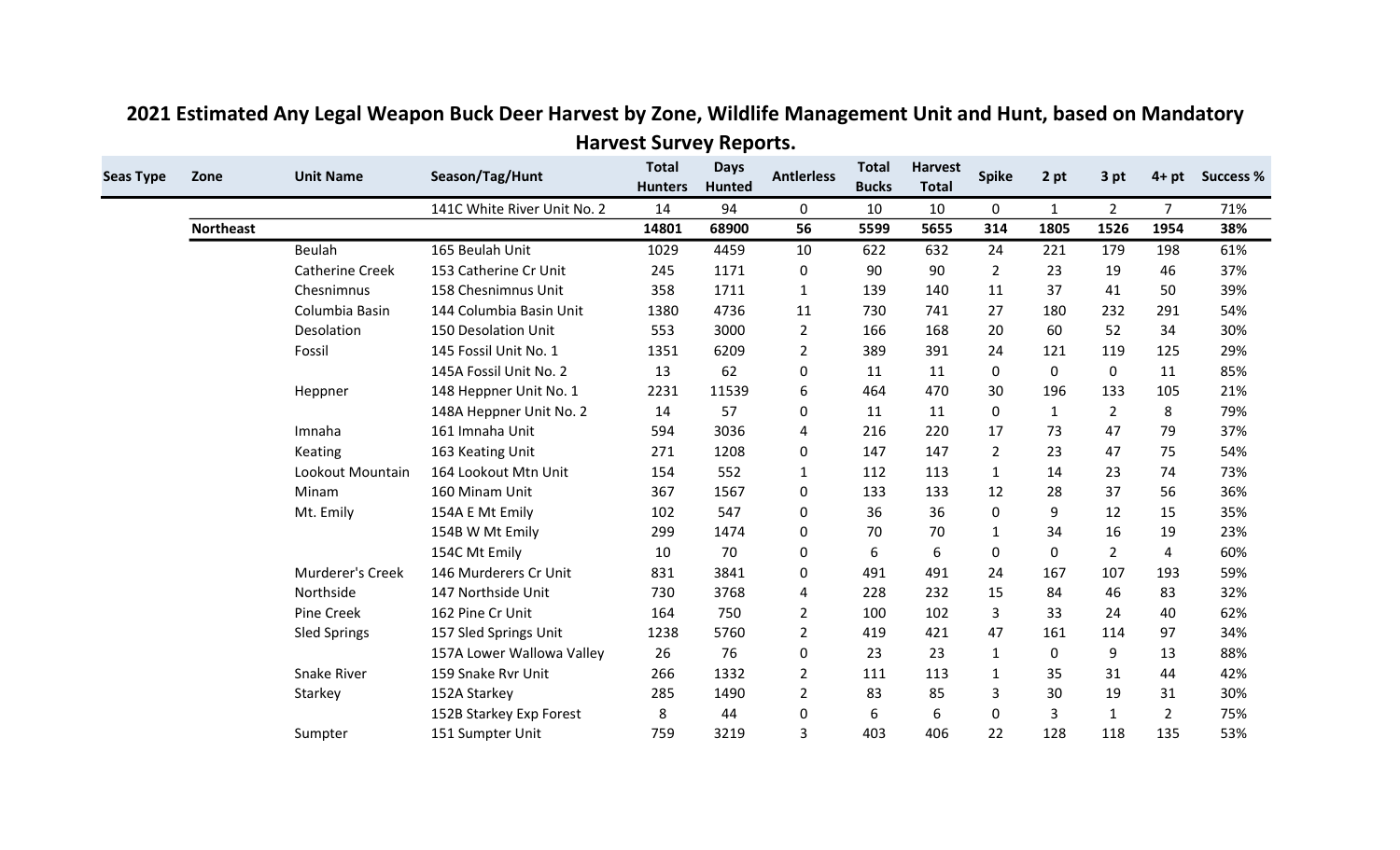| <b>Seas Type</b> | Zone             | <b>Unit Name</b>       | Season/Tag/Hunt             | <b>Total</b><br><b>Hunters</b> | <b>Days</b><br><b>Hunted</b> | <b>Antlerless</b> | <b>Total</b><br><b>Bucks</b> | <b>Harvest</b><br><b>Total</b> | <b>Spike</b>   | 2 pt         | 3 pt           | $4+pt$         | <b>Success %</b> |
|------------------|------------------|------------------------|-----------------------------|--------------------------------|------------------------------|-------------------|------------------------------|--------------------------------|----------------|--------------|----------------|----------------|------------------|
|                  |                  |                        | 141C White River Unit No. 2 | 14                             | 94                           | 0                 | 10                           | 10                             | 0              | 1            | $\overline{2}$ | $\overline{7}$ | 71%              |
|                  | <b>Northeast</b> |                        |                             | 14801                          | 68900                        | 56                | 5599                         | 5655                           | 314            | 1805         | 1526           | 1954           | 38%              |
|                  |                  | Beulah                 | 165 Beulah Unit             | 1029                           | 4459                         | 10                | 622                          | 632                            | 24             | 221          | 179            | 198            | 61%              |
|                  |                  | <b>Catherine Creek</b> | 153 Catherine Cr Unit       | 245                            | 1171                         | 0                 | 90                           | 90                             | $\overline{2}$ | 23           | 19             | 46             | 37%              |
|                  |                  | Chesnimnus             | 158 Chesnimnus Unit         | 358                            | 1711                         | $\mathbf{1}$      | 139                          | 140                            | 11             | 37           | 41             | 50             | 39%              |
|                  |                  | Columbia Basin         | 144 Columbia Basin Unit     | 1380                           | 4736                         | 11                | 730                          | 741                            | 27             | 180          | 232            | 291            | 54%              |
|                  |                  | Desolation             | 150 Desolation Unit         | 553                            | 3000                         | $\overline{2}$    | 166                          | 168                            | 20             | 60           | 52             | 34             | 30%              |
|                  |                  | Fossil                 | 145 Fossil Unit No. 1       | 1351                           | 6209                         | $\overline{2}$    | 389                          | 391                            | 24             | 121          | 119            | 125            | 29%              |
|                  |                  |                        | 145A Fossil Unit No. 2      | 13                             | 62                           | 0                 | 11                           | 11                             | 0              | 0            | 0              | 11             | 85%              |
|                  |                  | Heppner                | 148 Heppner Unit No. 1      | 2231                           | 11539                        | 6                 | 464                          | 470                            | 30             | 196          | 133            | 105            | 21%              |
|                  |                  |                        | 148A Heppner Unit No. 2     | 14                             | 57                           | 0                 | 11                           | 11                             | 0              | $\mathbf{1}$ | $\overline{2}$ | 8              | 79%              |
|                  |                  | Imnaha                 | 161 Imnaha Unit             | 594                            | 3036                         | 4                 | 216                          | 220                            | 17             | 73           | 47             | 79             | 37%              |
|                  |                  | Keating                | 163 Keating Unit            | 271                            | 1208                         | 0                 | 147                          | 147                            | $\overline{2}$ | 23           | 47             | 75             | 54%              |
|                  |                  | Lookout Mountain       | 164 Lookout Mtn Unit        | 154                            | 552                          | $\mathbf{1}$      | 112                          | 113                            | $\mathbf{1}$   | 14           | 23             | 74             | 73%              |
|                  |                  | Minam                  | 160 Minam Unit              | 367                            | 1567                         | 0                 | 133                          | 133                            | 12             | 28           | 37             | 56             | 36%              |
|                  |                  | Mt. Emily              | 154A E Mt Emily             | 102                            | 547                          | 0                 | 36                           | 36                             | 0              | 9            | 12             | 15             | 35%              |
|                  |                  |                        | 154B W Mt Emily             | 299                            | 1474                         | 0                 | 70                           | 70                             | 1              | 34           | 16             | 19             | 23%              |
|                  |                  |                        | 154C Mt Emily               | 10                             | 70                           | 0                 | 6                            | 6                              | 0              | 0            | $\overline{2}$ | 4              | 60%              |
|                  |                  | Murderer's Creek       | 146 Murderers Cr Unit       | 831                            | 3841                         | 0                 | 491                          | 491                            | 24             | 167          | 107            | 193            | 59%              |
|                  |                  | Northside              | 147 Northside Unit          | 730                            | 3768                         | 4                 | 228                          | 232                            | 15             | 84           | 46             | 83             | 32%              |
|                  |                  | Pine Creek             | 162 Pine Cr Unit            | 164                            | 750                          | $\overline{2}$    | 100                          | 102                            | 3              | 33           | 24             | 40             | 62%              |
|                  |                  | <b>Sled Springs</b>    | 157 Sled Springs Unit       | 1238                           | 5760                         | $\overline{2}$    | 419                          | 421                            | 47             | 161          | 114            | 97             | 34%              |
|                  |                  |                        | 157A Lower Wallowa Valley   | 26                             | 76                           | 0                 | 23                           | 23                             | $\mathbf{1}$   | 0            | 9              | 13             | 88%              |
|                  |                  | <b>Snake River</b>     | 159 Snake Rvr Unit          | 266                            | 1332                         | $\overline{2}$    | 111                          | 113                            | 1              | 35           | 31             | 44             | 42%              |
|                  |                  | Starkey                | 152A Starkey                | 285                            | 1490                         | $\overline{2}$    | 83                           | 85                             | 3              | 30           | 19             | 31             | 30%              |
|                  |                  |                        | 152B Starkey Exp Forest     | 8                              | 44                           | $\mathbf{0}$      | 6                            | 6                              | 0              | 3            | $\mathbf{1}$   | $\overline{2}$ | 75%              |
|                  |                  | Sumpter                | 151 Sumpter Unit            | 759                            | 3219                         | 3                 | 403                          | 406                            | 22             | 128          | 118            | 135            | 53%              |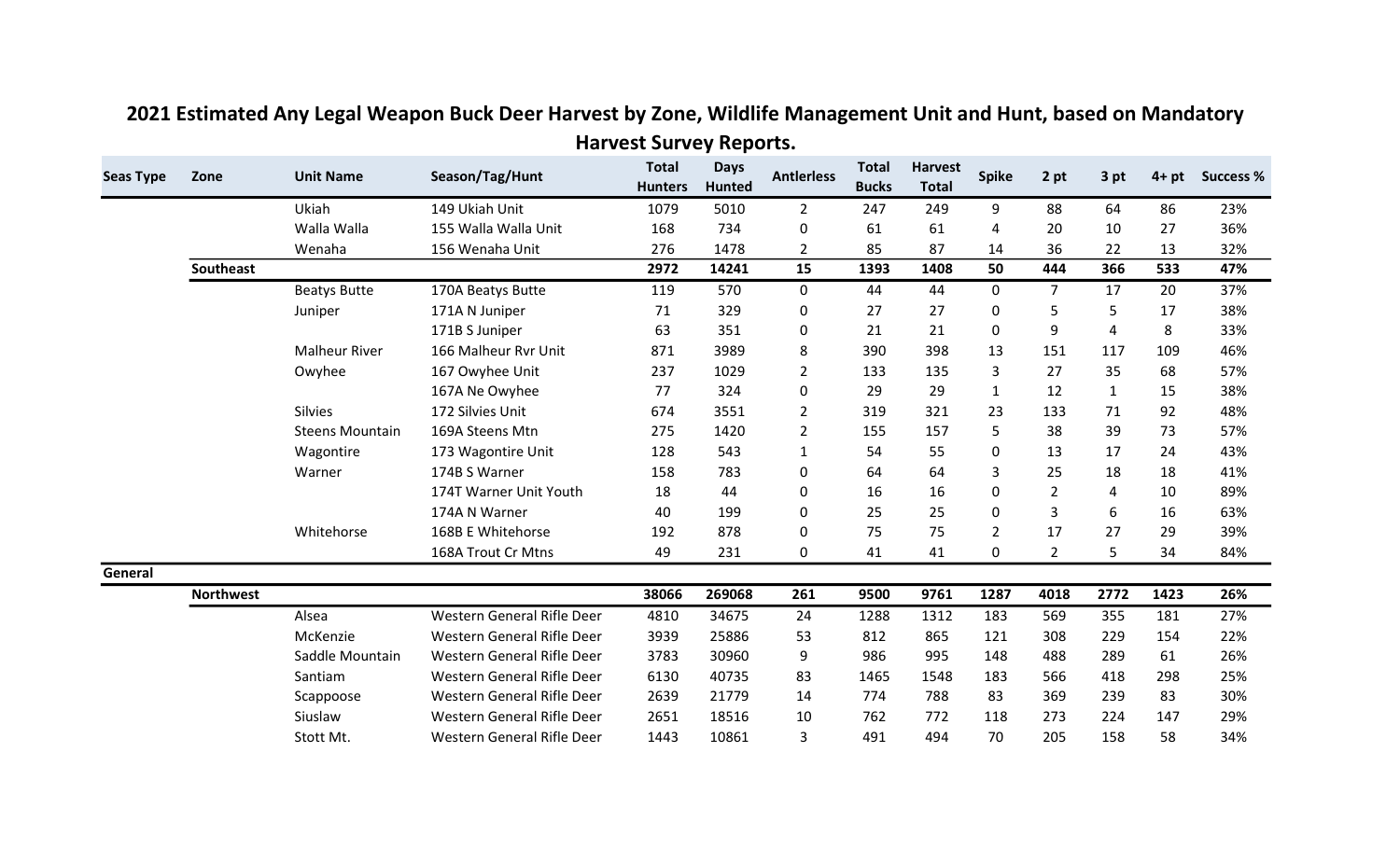| <b>Seas Type</b> | Zone             | <b>Unit Name</b>       | Season/Tag/Hunt                   | <b>Total</b><br><b>Hunters</b> | <b>Days</b><br><b>Hunted</b> | <b>Antlerless</b> | <b>Total</b><br><b>Bucks</b> | <b>Harvest</b><br><b>Total</b> | <b>Spike</b>   | 2 pt           | 3 pt         | $4+pt$ | <b>Success %</b> |
|------------------|------------------|------------------------|-----------------------------------|--------------------------------|------------------------------|-------------------|------------------------------|--------------------------------|----------------|----------------|--------------|--------|------------------|
|                  |                  | Ukiah                  | 149 Ukiah Unit                    | 1079                           | 5010                         | $\overline{2}$    | 247                          | 249                            | 9              | 88             | 64           | 86     | 23%              |
|                  |                  | Walla Walla            | 155 Walla Walla Unit              | 168                            | 734                          | 0                 | 61                           | 61                             | 4              | 20             | 10           | 27     | 36%              |
|                  |                  | Wenaha                 | 156 Wenaha Unit                   | 276                            | 1478                         | $\overline{2}$    | 85                           | 87                             | 14             | 36             | 22           | 13     | 32%              |
|                  | Southeast        |                        |                                   | 2972                           | 14241                        | 15                | 1393                         | 1408                           | 50             | 444            | 366          | 533    | 47%              |
|                  |                  | <b>Beatys Butte</b>    | 170A Beatys Butte                 | 119                            | 570                          | $\mathbf 0$       | 44                           | 44                             | $\mathbf 0$    | $\overline{7}$ | 17           | 20     | 37%              |
|                  |                  | Juniper                | 171A N Juniper                    | 71                             | 329                          | 0                 | 27                           | 27                             | 0              | 5              | 5            | 17     | 38%              |
|                  |                  |                        | 171B S Juniper                    | 63                             | 351                          | 0                 | 21                           | 21                             | $\mathbf{0}$   | 9              | 4            | 8      | 33%              |
|                  |                  | <b>Malheur River</b>   | 166 Malheur Rvr Unit              | 871                            | 3989                         | 8                 | 390                          | 398                            | 13             | 151            | 117          | 109    | 46%              |
|                  |                  | Owyhee                 | 167 Owyhee Unit                   | 237                            | 1029                         | $\overline{2}$    | 133                          | 135                            | 3              | 27             | 35           | 68     | 57%              |
|                  |                  |                        | 167A Ne Owyhee                    | 77                             | 324                          | $\Omega$          | 29                           | 29                             | $\mathbf{1}$   | 12             | $\mathbf{1}$ | 15     | 38%              |
|                  |                  | <b>Silvies</b>         | 172 Silvies Unit                  | 674                            | 3551                         | $\overline{2}$    | 319                          | 321                            | 23             | 133            | 71           | 92     | 48%              |
|                  |                  | <b>Steens Mountain</b> | 169A Steens Mtn                   | 275                            | 1420                         | $\overline{2}$    | 155                          | 157                            | 5              | 38             | 39           | 73     | 57%              |
|                  |                  | Wagontire              | 173 Wagontire Unit                | 128                            | 543                          | 1                 | 54                           | 55                             | $\Omega$       | 13             | 17           | 24     | 43%              |
|                  |                  | Warner                 | 174B S Warner                     | 158                            | 783                          | $\Omega$          | 64                           | 64                             | 3              | 25             | 18           | 18     | 41%              |
|                  |                  |                        | 174T Warner Unit Youth            | 18                             | 44                           | 0                 | 16                           | 16                             | 0              | $\overline{2}$ | 4            | 10     | 89%              |
|                  |                  |                        | 174A N Warner                     | 40                             | 199                          | $\Omega$          | 25                           | 25                             | $\Omega$       | 3              | 6            | 16     | 63%              |
|                  |                  | Whitehorse             | 168B E Whitehorse                 | 192                            | 878                          | 0                 | 75                           | 75                             | $\overline{2}$ | 17             | 27           | 29     | 39%              |
|                  |                  |                        | 168A Trout Cr Mtns                | 49                             | 231                          | 0                 | 41                           | 41                             | $\mathbf{0}$   | $\overline{2}$ | 5            | 34     | 84%              |
| General          |                  |                        |                                   |                                |                              |                   |                              |                                |                |                |              |        |                  |
|                  | <b>Northwest</b> |                        |                                   | 38066                          | 269068                       | 261               | 9500                         | 9761                           | 1287           | 4018           | 2772         | 1423   | 26%              |
|                  |                  | Alsea                  | Western General Rifle Deer        | 4810                           | 34675                        | 24                | 1288                         | 1312                           | 183            | 569            | 355          | 181    | 27%              |
|                  |                  | McKenzie               | Western General Rifle Deer        | 3939                           | 25886                        | 53                | 812                          | 865                            | 121            | 308            | 229          | 154    | 22%              |
|                  |                  | Saddle Mountain        | <b>Western General Rifle Deer</b> | 3783                           | 30960                        | 9                 | 986                          | 995                            | 148            | 488            | 289          | 61     | 26%              |
|                  |                  | Santiam                | Western General Rifle Deer        | 6130                           | 40735                        | 83                | 1465                         | 1548                           | 183            | 566            | 418          | 298    | 25%              |
|                  |                  | Scappoose              | Western General Rifle Deer        | 2639                           | 21779                        | 14                | 774                          | 788                            | 83             | 369            | 239          | 83     | 30%              |
|                  |                  | Siuslaw                | Western General Rifle Deer        | 2651                           | 18516                        | 10                | 762                          | 772                            | 118            | 273            | 224          | 147    | 29%              |
|                  |                  | Stott Mt.              | <b>Western General Rifle Deer</b> | 1443                           | 10861                        | 3                 | 491                          | 494                            | 70             | 205            | 158          | 58     | 34%              |